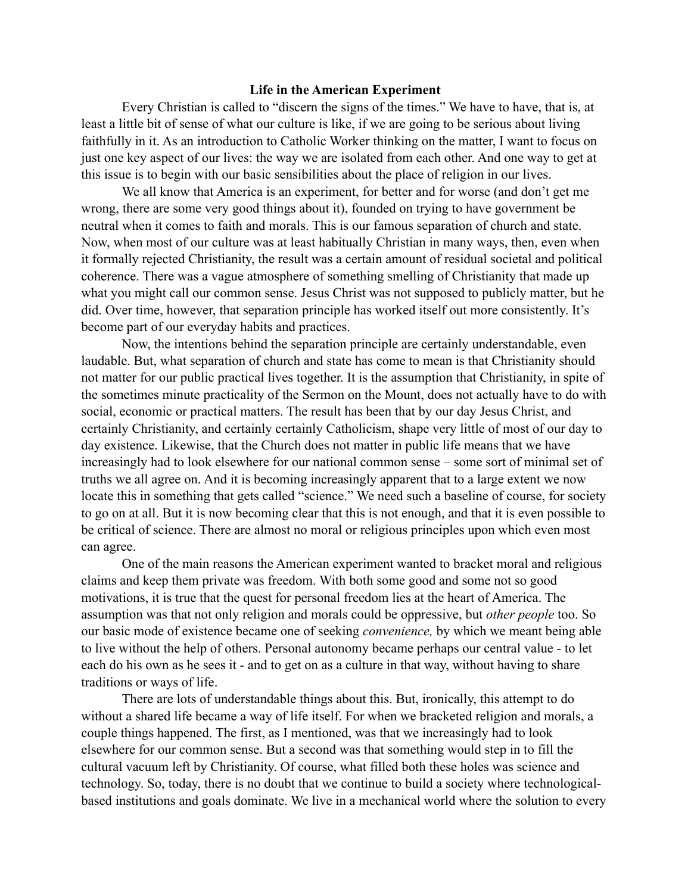## **Life in the American Experiment**

Every Christian is called to "discern the signs of the times." We have to have, that is, at least a little bit of sense of what our culture is like, if we are going to be serious about living faithfully in it. As an introduction to Catholic Worker thinking on the matter, I want to focus on just one key aspect of our lives: the way we are isolated from each other. And one way to get at this issue is to begin with our basic sensibilities about the place of religion in our lives.

We all know that America is an experiment, for better and for worse (and don't get me wrong, there are some very good things about it), founded on trying to have government be neutral when it comes to faith and morals. This is our famous separation of church and state. Now, when most of our culture was at least habitually Christian in many ways, then, even when it formally rejected Christianity, the result was a certain amount of residual societal and political coherence. There was a vague atmosphere of something smelling of Christianity that made up what you might call our common sense. Jesus Christ was not supposed to publicly matter, but he did. Over time, however, that separation principle has worked itself out more consistently. It's become part of our everyday habits and practices.

Now, the intentions behind the separation principle are certainly understandable, even laudable. But, what separation of church and state has come to mean is that Christianity should not matter for our public practical lives together. It is the assumption that Christianity, in spite of the sometimes minute practicality of the Sermon on the Mount, does not actually have to do with social, economic or practical matters. The result has been that by our day Jesus Christ, and certainly Christianity, and certainly certainly Catholicism, shape very little of most of our day to day existence. Likewise, that the Church does not matter in public life means that we have increasingly had to look elsewhere for our national common sense – some sort of minimal set of truths we all agree on. And it is becoming increasingly apparent that to a large extent we now locate this in something that gets called "science." We need such a baseline of course, for society to go on at all. But it is now becoming clear that this is not enough, and that it is even possible to be critical of science. There are almost no moral or religious principles upon which even most can agree.

One of the main reasons the American experiment wanted to bracket moral and religious claims and keep them private was freedom. With both some good and some not so good motivations, it is true that the quest for personal freedom lies at the heart of America. The assumption was that not only religion and morals could be oppressive, but *other people* too. So our basic mode of existence became one of seeking *convenience,* by which we meant being able to live without the help of others. Personal autonomy became perhaps our central value - to let each do his own as he sees it - and to get on as a culture in that way, without having to share traditions or ways of life.

There are lots of understandable things about this. But, ironically, this attempt to do without a shared life became a way of life itself. For when we bracketed religion and morals, a couple things happened. The first, as I mentioned, was that we increasingly had to look elsewhere for our common sense. But a second was that something would step in to fill the cultural vacuum left by Christianity. Of course, what filled both these holes was science and technology. So, today, there is no doubt that we continue to build a society where technologicalbased institutions and goals dominate. We live in a mechanical world where the solution to every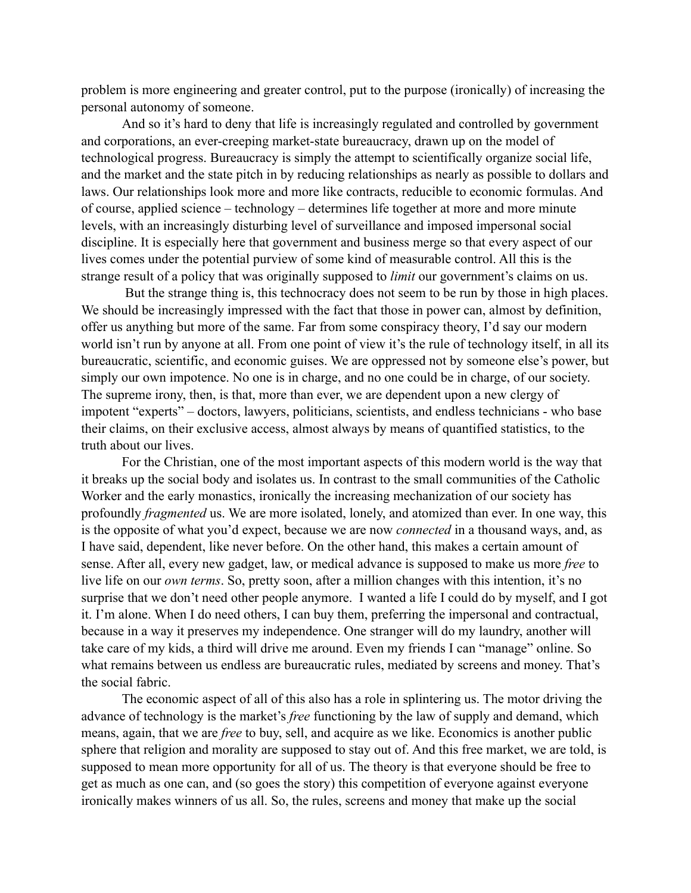problem is more engineering and greater control, put to the purpose (ironically) of increasing the personal autonomy of someone.

And so it's hard to deny that life is increasingly regulated and controlled by government and corporations, an ever-creeping market-state bureaucracy, drawn up on the model of technological progress. Bureaucracy is simply the attempt to scientifically organize social life, and the market and the state pitch in by reducing relationships as nearly as possible to dollars and laws. Our relationships look more and more like contracts, reducible to economic formulas. And of course, applied science – technology – determines life together at more and more minute levels, with an increasingly disturbing level of surveillance and imposed impersonal social discipline. It is especially here that government and business merge so that every aspect of our lives comes under the potential purview of some kind of measurable control. All this is the strange result of a policy that was originally supposed to *limit* our government's claims on us.

 But the strange thing is, this technocracy does not seem to be run by those in high places. We should be increasingly impressed with the fact that those in power can, almost by definition, offer us anything but more of the same. Far from some conspiracy theory, I'd say our modern world isn't run by anyone at all. From one point of view it's the rule of technology itself, in all its bureaucratic, scientific, and economic guises. We are oppressed not by someone else's power, but simply our own impotence. No one is in charge, and no one could be in charge, of our society. The supreme irony, then, is that, more than ever, we are dependent upon a new clergy of impotent "experts" – doctors, lawyers, politicians, scientists, and endless technicians - who base their claims, on their exclusive access, almost always by means of quantified statistics, to the truth about our lives.

For the Christian, one of the most important aspects of this modern world is the way that it breaks up the social body and isolates us. In contrast to the small communities of the Catholic Worker and the early monastics, ironically the increasing mechanization of our society has profoundly *fragmented* us. We are more isolated, lonely, and atomized than ever. In one way, this is the opposite of what you'd expect, because we are now *connected* in a thousand ways, and, as I have said, dependent, like never before. On the other hand, this makes a certain amount of sense. After all, every new gadget, law, or medical advance is supposed to make us more *free* to live life on our *own terms*. So, pretty soon, after a million changes with this intention, it's no surprise that we don't need other people anymore. I wanted a life I could do by myself, and I got it. I'm alone. When I do need others, I can buy them, preferring the impersonal and contractual, because in a way it preserves my independence. One stranger will do my laundry, another will take care of my kids, a third will drive me around. Even my friends I can "manage" online. So what remains between us endless are bureaucratic rules, mediated by screens and money. That's the social fabric.

The economic aspect of all of this also has a role in splintering us. The motor driving the advance of technology is the market's *free* functioning by the law of supply and demand, which means, again, that we are *free* to buy, sell, and acquire as we like. Economics is another public sphere that religion and morality are supposed to stay out of. And this free market, we are told, is supposed to mean more opportunity for all of us. The theory is that everyone should be free to get as much as one can, and (so goes the story) this competition of everyone against everyone ironically makes winners of us all. So, the rules, screens and money that make up the social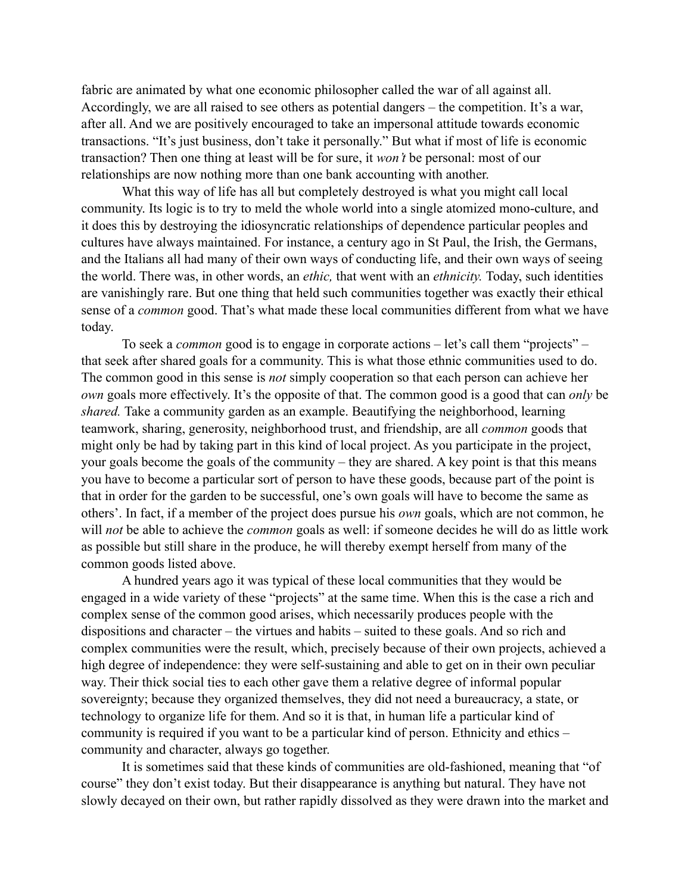fabric are animated by what one economic philosopher called the war of all against all. Accordingly, we are all raised to see others as potential dangers – the competition. It's a war, after all. And we are positively encouraged to take an impersonal attitude towards economic transactions. "It's just business, don't take it personally." But what if most of life is economic transaction? Then one thing at least will be for sure, it *won't* be personal: most of our relationships are now nothing more than one bank accounting with another.

What this way of life has all but completely destroyed is what you might call local community. Its logic is to try to meld the whole world into a single atomized mono-culture, and it does this by destroying the idiosyncratic relationships of dependence particular peoples and cultures have always maintained. For instance, a century ago in St Paul, the Irish, the Germans, and the Italians all had many of their own ways of conducting life, and their own ways of seeing the world. There was, in other words, an *ethic,* that went with an *ethnicity.* Today, such identities are vanishingly rare. But one thing that held such communities together was exactly their ethical sense of a *common* good. That's what made these local communities different from what we have today.

To seek a *common* good is to engage in corporate actions – let's call them "projects" – that seek after shared goals for a community. This is what those ethnic communities used to do. The common good in this sense is *not* simply cooperation so that each person can achieve her *own* goals more effectively. It's the opposite of that. The common good is a good that can *only* be *shared.* Take a community garden as an example. Beautifying the neighborhood, learning teamwork, sharing, generosity, neighborhood trust, and friendship, are all *common* goods that might only be had by taking part in this kind of local project. As you participate in the project, your goals become the goals of the community – they are shared. A key point is that this means you have to become a particular sort of person to have these goods, because part of the point is that in order for the garden to be successful, one's own goals will have to become the same as others'. In fact, if a member of the project does pursue his *own* goals, which are not common, he will *not* be able to achieve the *common* goals as well: if someone decides he will do as little work as possible but still share in the produce, he will thereby exempt herself from many of the common goods listed above.

A hundred years ago it was typical of these local communities that they would be engaged in a wide variety of these "projects" at the same time. When this is the case a rich and complex sense of the common good arises, which necessarily produces people with the dispositions and character – the virtues and habits – suited to these goals. And so rich and complex communities were the result, which, precisely because of their own projects, achieved a high degree of independence: they were self-sustaining and able to get on in their own peculiar way. Their thick social ties to each other gave them a relative degree of informal popular sovereignty; because they organized themselves, they did not need a bureaucracy, a state, or technology to organize life for them. And so it is that, in human life a particular kind of community is required if you want to be a particular kind of person. Ethnicity and ethics – community and character, always go together.

It is sometimes said that these kinds of communities are old-fashioned, meaning that "of course" they don't exist today. But their disappearance is anything but natural. They have not slowly decayed on their own, but rather rapidly dissolved as they were drawn into the market and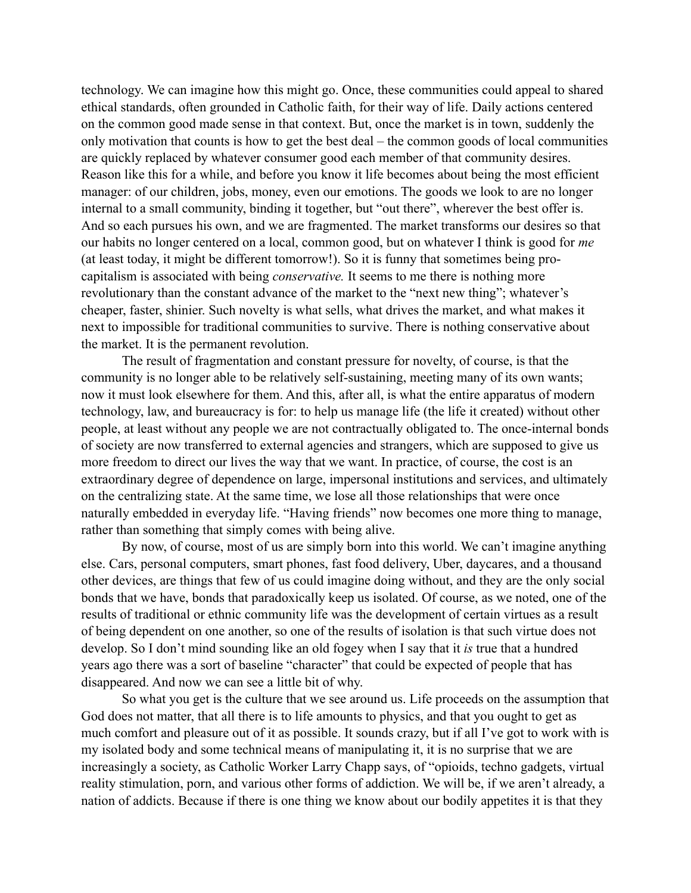technology. We can imagine how this might go. Once, these communities could appeal to shared ethical standards, often grounded in Catholic faith, for their way of life. Daily actions centered on the common good made sense in that context. But, once the market is in town, suddenly the only motivation that counts is how to get the best deal – the common goods of local communities are quickly replaced by whatever consumer good each member of that community desires. Reason like this for a while, and before you know it life becomes about being the most efficient manager: of our children, jobs, money, even our emotions. The goods we look to are no longer internal to a small community, binding it together, but "out there", wherever the best offer is. And so each pursues his own, and we are fragmented. The market transforms our desires so that our habits no longer centered on a local, common good, but on whatever I think is good for *me*  (at least today, it might be different tomorrow!). So it is funny that sometimes being procapitalism is associated with being *conservative.* It seems to me there is nothing more revolutionary than the constant advance of the market to the "next new thing"; whatever's cheaper, faster, shinier. Such novelty is what sells, what drives the market, and what makes it next to impossible for traditional communities to survive. There is nothing conservative about the market. It is the permanent revolution.

The result of fragmentation and constant pressure for novelty, of course, is that the community is no longer able to be relatively self-sustaining, meeting many of its own wants; now it must look elsewhere for them. And this, after all, is what the entire apparatus of modern technology, law, and bureaucracy is for: to help us manage life (the life it created) without other people, at least without any people we are not contractually obligated to. The once-internal bonds of society are now transferred to external agencies and strangers, which are supposed to give us more freedom to direct our lives the way that we want. In practice, of course, the cost is an extraordinary degree of dependence on large, impersonal institutions and services, and ultimately on the centralizing state. At the same time, we lose all those relationships that were once naturally embedded in everyday life. "Having friends" now becomes one more thing to manage, rather than something that simply comes with being alive.

By now, of course, most of us are simply born into this world. We can't imagine anything else. Cars, personal computers, smart phones, fast food delivery, Uber, daycares, and a thousand other devices, are things that few of us could imagine doing without, and they are the only social bonds that we have, bonds that paradoxically keep us isolated. Of course, as we noted, one of the results of traditional or ethnic community life was the development of certain virtues as a result of being dependent on one another, so one of the results of isolation is that such virtue does not develop. So I don't mind sounding like an old fogey when I say that it *is* true that a hundred years ago there was a sort of baseline "character" that could be expected of people that has disappeared. And now we can see a little bit of why.

So what you get is the culture that we see around us. Life proceeds on the assumption that God does not matter, that all there is to life amounts to physics, and that you ought to get as much comfort and pleasure out of it as possible. It sounds crazy, but if all I've got to work with is my isolated body and some technical means of manipulating it, it is no surprise that we are increasingly a society, as Catholic Worker Larry Chapp says, of "opioids, techno gadgets, virtual reality stimulation, porn, and various other forms of addiction. We will be, if we aren't already, a nation of addicts. Because if there is one thing we know about our bodily appetites it is that they